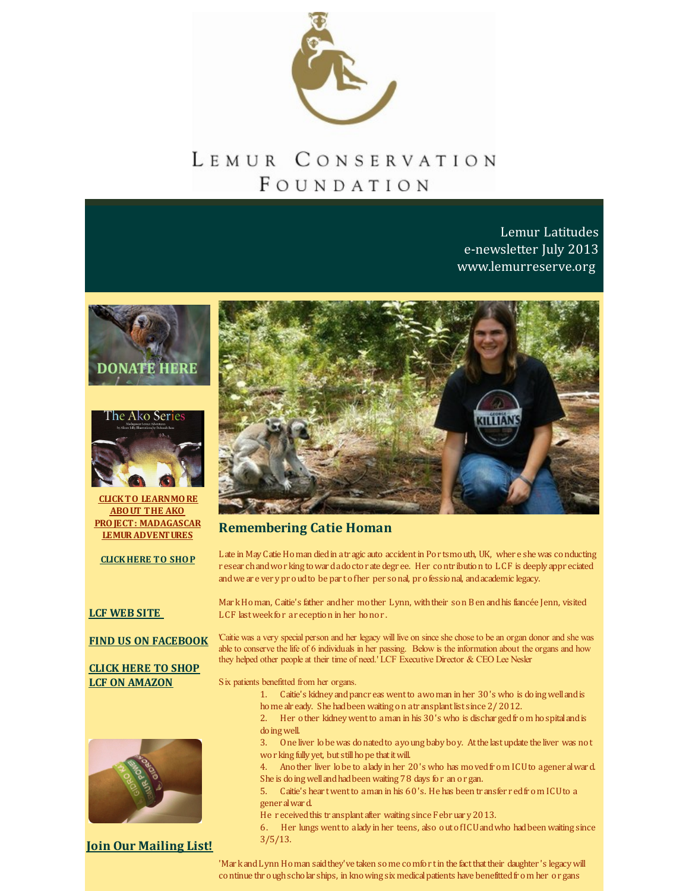

# LEMUR CONSERVATION FOUNDATION

Lemur Latitudes e-newsletter July 2013 [www.lemurreserve.org](http://www.lemurreserve.org)







**CLICKTO LEARNMORE ABOUT THE AKO PROJECT: MADAGASCAR [LEMURADVENTURES](http://r20.rs6.net/tn.jsp?f=001KxbASQH3aZG8HlPTGeViL1KB_96GiGnnIVdGqjtahDJt1Rc9FvYRtL7YfaUaIHRsExuh_qeGi3gvt184e2reByY0Uop4_QrnEpQF-L_7NLNORRoJTdt0WxWcWUO-zhijWLAiVYFnJQJ5YmOMlKizVfM6OKKGHfEphl-BVtWsc4Qy90bLYuFBAoNzwlHP2hkwDVOic31dsfY=&c=&ch=)**

**[CLICKHERE](http://n-malagasy-shop-1355257814696.hostedbyamazon.com/) TO SHOP**

#### **LCF [WEB](http://www.lemurreserve.org) SITE**

**FIND US ON [FACEBOOK](http://www.facebook.com/LemurConservation)**

#### **CLICK HERE TO SHOP LCF ON [AMAZON](http://r20.rs6.net/tn.jsp?f=001KxbASQH3aZG8HlPTGeViL1KB_96GiGnnIVdGqjtahDJt1Rc9FvYRtOXNu3IEEVg08hiQ1iwuxWsKJfkIG0TMx0wFdxBHenTlhWakcf2NSIuPEAwFJJWBSU3gnKDhRbOkdLyXUzFnCsa0W7tpyT8yef9W3izmvLHIoVPKuv1e-zdnVdsz3jZenCyr6au2gs0-xan1Ra-s5n7eko5pbnOXBQ==&c=&ch=)**



**Join Our [Mailing](http://visitor.r20.constantcontact.com/email.jsp?m=1110407556333) List!**



#### **Remembering Catie Homan**

Late in MayCatieHoman diedin atr agic auto accidentin Por tsmouth, UK, wher e shewas conducting r esear chandwor king towardadoctor ate degr ee. Her contr ibution to LCF is deeply appr eciated andwe ar e ver ypr oudto be par tofher per sonal, pr ofessional, andacademic legacy.

Mar kHoman, Caitie's father andher mother Lynn, withtheir son Ben andhis fiancée Jenn, visited LCF last week for ar eception in her honor.

'Caitie was a very special person and her legacy will live on since she chose to be an organ donor and she was able to conserve the life of 6 individuals in her passing. Below is the information about the organs and how they helped other people at their time of need.' LCF Executive Director & CEO Lee Nesler

Six patients benefitted from her organs.

- 1. Caitie's kidney andpancr eas wentto awoman in her 30's who is doingwellandis home alr eady. She had been waiting on a transplant list since 2/2012.
- 2. Her other kidneywentto aman in his 30's who is dischar gedfr om hospitalandis doingwell.
- 3. One liver lobewas donatedto ayoung baby boy. Atthe lastupdate the liver was not wor king fully yet, but still hope that it will.
- 4. Another liver lobe to alady in her 20's who has movedfr om ICUto agener alward. She is doing well and had been waiting 78 days for an or gan.
- 5. Caitie's hear twentto aman in his 60's. He has been tr ansfer r edfr om ICUto a gener alward.
- He received this transplant after waiting since February 2013.

6. Her lungs wentto alady in her teens, also outofICUandwho hadbeen waiting since 3/5/13.

'Mar k and Lynn Homan said they've taken some comfor t in the fact that their daughter 's legacy will continue thr oughscholar ships, in knowing six medicalpatients have benefittedfr om her or gans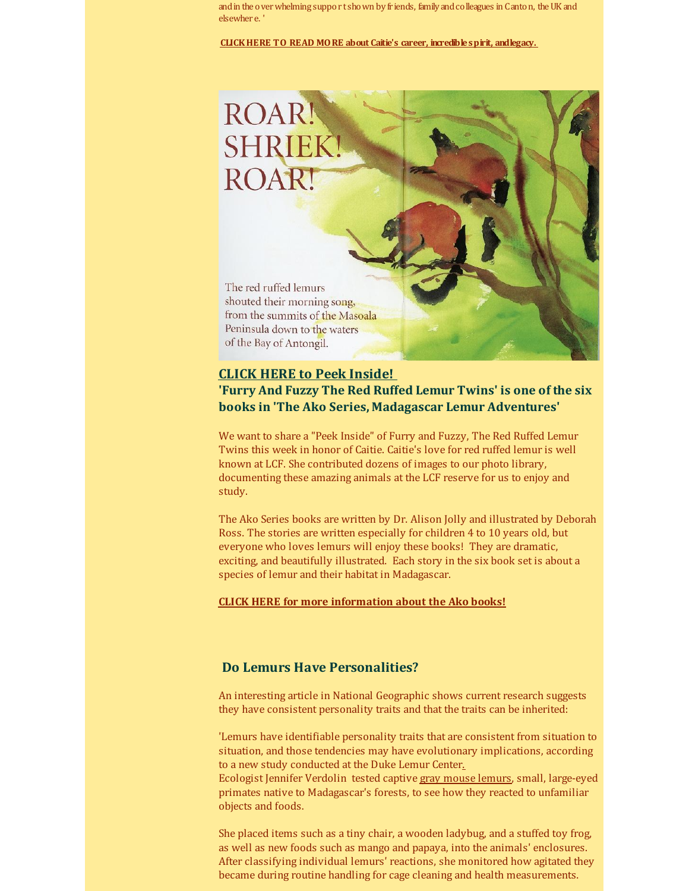and in the over whelming support shown by friends, family and colleagues in Canton, the UK and elsewher e. '

**CLICKHERE TO READ MORE about Caitie's career, [incrediblespirit,](http://r20.rs6.net/tn.jsp?f=001KxbASQH3aZG8HlPTGeViL1KB_96GiGnnIVdGqjtahDJt1Rc9FvYRtM9MWCTF3blRPRG5MCPCA8ZKiLbVBwa4oo_jZ55fLB6uDfF4BEeJMYy7R0W0RLRN2cgA582Lvra1OseRNwUuB-4gjeseuDQ8TFcgij1lGibafAMkrjc12OgYIzVnS7RSLbWRqsPWMtPEm-P00SPobsMdgIkBmXldP_I17HuEy4onLSkOUTmzEcq0MM-pEoEgki4Yk2560PQ_n4Jh6st-N6I0LBUCdi-DJFENd_zCzAwE7FTGwnyZvxs=&c=&ch=) andlegacy.**



### **CLICK HERE to Peek [Inside!](http://r20.rs6.net/tn.jsp?f=001KxbASQH3aZG8HlPTGeViL1KB_96GiGnnIVdGqjtahDJt1Rc9FvYRtM9MWCTF3blRe4R9Gld3MhxePqtbOrASJozpAtccRIXk4tFVPgZkrWbGYmX7jIHeJHY73cOoixzsTQDmeELJexX9mpspOeUAJPmE8_Diof7N0oObpdcrL08Xz9n3hlJindZPF5QDYcM-_VPhgYPdOAwa5TbTG_TQO6zoqaynSYAhOTunmxb-SdSmpiKeTSypf7JZOijwZrul&c=&ch=)**

## **'Furry And Fuzzy The Red Ruffed Lemur Twins' is one of the six books in 'The Ako Series, Madagascar Lemur Adventures'**

We want to share a "Peek Inside" of Furry and Fuzzy, The Red Ruffed Lemur Twins this week in honor of Caitie. Caitie's love for red ruffed lemur is well known at LCF. She contributed dozens of images to our photo library, documenting these amazing animals at the LCF reserve for us to enjoy and study.

The Ako Series books are written by Dr. Alison Jolly and illustrated by Deborah Ross. The stories are written especially for children 4 to 10 years old, but everyone who loves lemurs will enjoy these books! They are dramatic, exciting, and beautifully illustrated. Each story in the six book set is about a species of lemur and their habitat in Madagascar.

#### **CLICK HERE for more [information](http://r20.rs6.net/tn.jsp?f=001KxbASQH3aZG8HlPTGeViL1KB_96GiGnnIVdGqjtahDJt1Rc9FvYRtF0a8-brX-mwhQjp5W8OgsJfr1PdWu7i03ai5soiUQ7Uu5yavuM0GeXIBJsKoBZp-Jg3DbZRliCJCtvHrIu0MRduzaRInEFQCKbqKPv_NCdKXiSeUBaKzOyDMqJelphOqbR8wHzOw6toJCDtKhVYp5kWIhdHrF_kv5ewXdhJpJ-m38BeRo8ManUuhCrtIu9aehkf4_zFyOOIoWOfe6a6fhjvIISmo0gtMYEWPv3K2xcG&c=&ch=) about the Ako books!**

## **Do Lemurs Have Personalities?**

An interesting article in National Geographic shows current research suggests they have consistent personality traits and that the traits can be inherited:

'Lemurs have identifiable personality traits that are consistent from situation to situation, and those tendencies may have evolutionary [implications,](http://r20.rs6.net/tn.jsp?f=001KxbASQH3aZG8HlPTGeViL1KB_96GiGnnIVdGqjtahDJt1Rc9FvYRtM9MWCTF3blRI9OBCUwxfjizn8gwyw54GDYBCJFxw4eeIph6F356e4Qu4eLm98Yr8nKcDZK0IxnifYarl1A8liEqixro_NtF1PGYkGxdfmr2JFnKspWNWXBf2tY8BTdpZdNdwOPqK46iX6izD-acBAgtiMAtWSw5Ek6h1dGKbUoiNnxnNPENx-h78yfDqLFk11A2pEB2un7O&c=&ch=) according to a new study conducted at the Duke Lemur Center.

Ecologist Jennifer [Verdolin](http://newswatch.nationalgeographic.com/2013/06/25/do-lemurs-have-personalities/) tested captive gray [mouse](http://r20.rs6.net/tn.jsp?f=001KxbASQH3aZG8HlPTGeViL1KB_96GiGnnIVdGqjtahDJt1Rc9FvYRtM9MWCTF3blRnKag2dj29XGglF2kokLObORLHu4JsdInkCZRidf_SIRW5byp3ywyrEsYWd-h4AU5D2ihcA8dfmTLKSP7VpTATUcn324fgfjoEIicOpH5x0JBWep24eeC1iaYDOYqFqYzgk9CYX085iY=&c=&ch=) lemurs, small, large-eyed primates native to Madagascar's forests, to see how they reacted to unfamiliar objects and foods.

She placed items such as a tiny chair, a wooden ladybug, and a stuffed toy frog, as well as new foods such as mango and papaya, into the animals' enclosures. After classifying individual lemurs' reactions, she monitored how agitated they became during routine handling for cage cleaning and health measurements.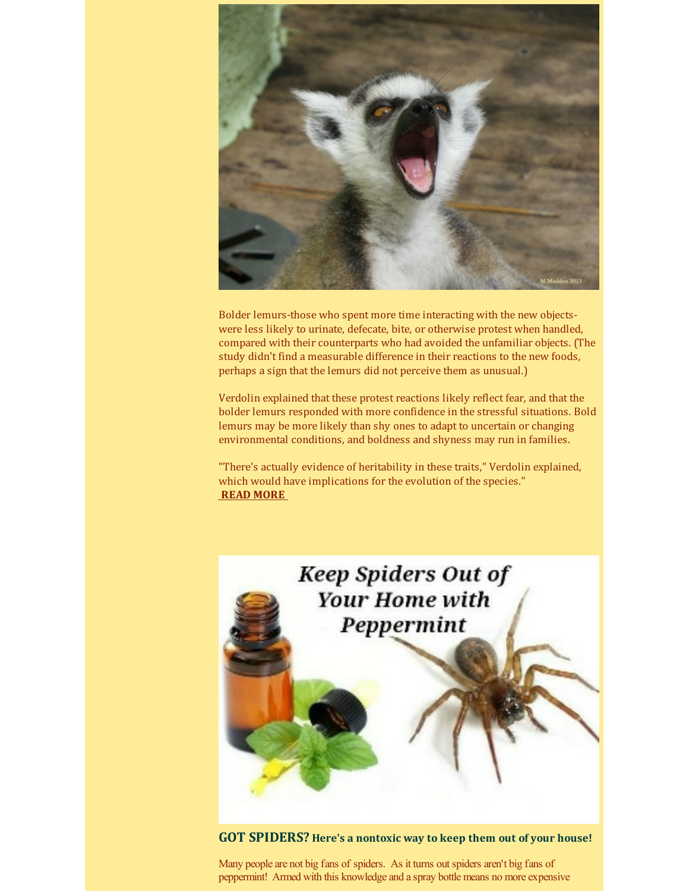

Bolder lemurs-those who spent more time interacting with the new objectswere less likely to urinate, defecate, bite, or otherwise protest when handled, compared with their counterparts who had avoided the unfamiliar objects. (The study didn't find a measurable difference in their reactions to the new foods, perhaps a sign that the lemurs did not perceive them as unusual.)

Verdolin explained that these protest reactions likely reflect fear, and that the bolder lemurs responded with more confidence in the stressful situations. Bold lemurs may be more likely than shy ones to adapt to uncertain or changing environmental conditions, and boldness and shyness may run in families.

"There's actually evidence of heritability in these traits," Verdolin explained, which would have implications for the evolution of the species." **READ [MORE](http://r20.rs6.net/tn.jsp?f=001KxbASQH3aZG8HlPTGeViL1KB_96GiGnnIVdGqjtahDJt1Rc9FvYRtM9MWCTF3blRI9OBCUwxfjizn8gwyw54GDYBCJFxw4eeIph6F356e4Qu4eLm98Yr8nKcDZK0IxnifYarl1A8liEqixro_NtF1PGYkGxdfmr2JFnKspWNWXBf2tY8BTdpZdNdwOPqK46iX6izD-acBAgtiMAtWSw5Ek6h1dGKbUoiNnxnNPENx-h78yfDqLFk11A2pEB2un7O&c=&ch=)**

> **Keep Spiders Out of Your Home with** Peppermint

**GOT SPIDERS? Here's a nontoxic way to keep them out of your house!**

Many people are not big fans of spiders. As it turns out spiders aren't big fans of peppermint! Armed with this knowledge and a spray bottle means no more expensive